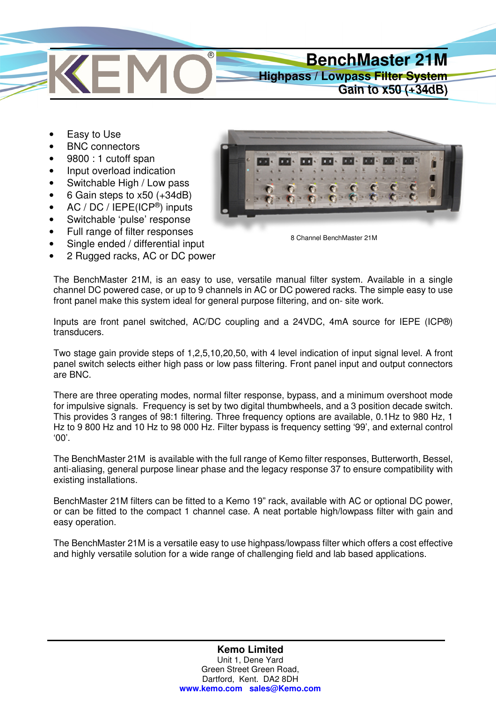

- Easy to Use
- BNC connectors
- 9800 : 1 cutoff span
- Input overload indication
- Switchable High / Low pass
- 6 Gain steps to x50 (+34dB)
- AC / DC / IEPE(ICP®) inputs
- Switchable 'pulse' response
- Full range of filter responses
- Single ended / differential input
- 2 Rugged racks, AC or DC power



8 Channel BenchMaster 21M

The BenchMaster 21M, is an easy to use, versatile manual filter system. Available in a single channel DC powered case, or up to 9 channels in AC or DC powered racks. The simple easy to use front panel make this system ideal for general purpose filtering, and on- site work.

Inputs are front panel switched, AC/DC coupling and a 24VDC, 4mA source for IEPE (ICP®) transducers.

Two stage gain provide steps of 1,2,5,10,20,50, with 4 level indication of input signal level. A front panel switch selects either high pass or low pass filtering. Front panel input and output connectors are BNC.

There are three operating modes, normal filter response, bypass, and a minimum overshoot mode for impulsive signals. Frequency is set by two digital thumbwheels, and a 3 position decade switch. This provides 3 ranges of 98:1 filtering. Three frequency options are available, 0.1Hz to 980 Hz, 1 Hz to 9 800 Hz and 10 Hz to 98 000 Hz. Filter bypass is frequency setting '99', and external control '00'.

The BenchMaster 21M is available with the full range of Kemo filter responses, Butterworth, Bessel, anti-aliasing, general purpose linear phase and the legacy response 37 to ensure compatibility with existing installations.

BenchMaster 21M filters can be fitted to a Kemo 19" rack, available with AC or optional DC power, or can be fitted to the compact 1 channel case. A neat portable high/lowpass filter with gain and easy operation.

The BenchMaster 21M is a versatile easy to use highpass/lowpass filter which offers a cost effective and highly versatile solution for a wide range of challenging field and lab based applications.

> **Kemo Limited**  Unit 1, Dene Yard Green Street Green Road, Dartford, Kent. DA2 8DH **www.kemo.com sales@Kemo.com**